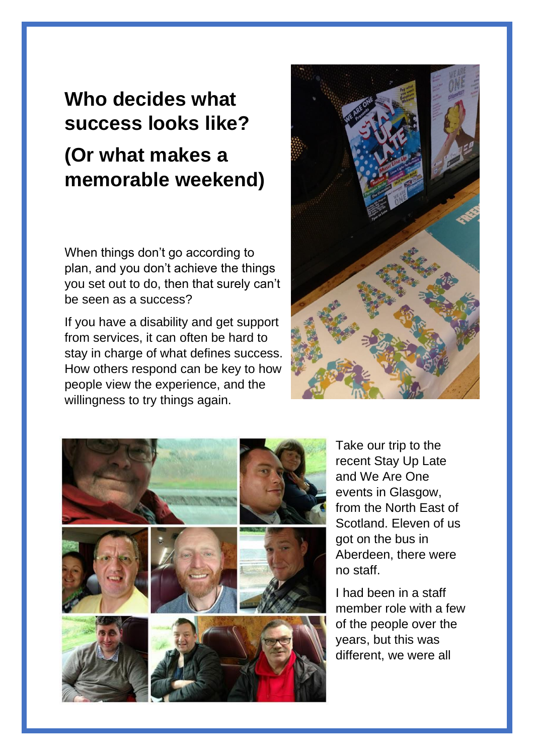## **Who decides what success looks like? (Or what makes a memorable weekend)**

When things don't go according to plan, and you don't achieve the things you set out to do, then that surely can't be seen as a success?

If you have a disability and get support from services, it can often be hard to stay in charge of what defines success. How others respond can be key to how people view the experience, and the willingness to try things again.





Take our trip to the recent Stay Up Late and We Are One events in Glasgow, from the North East of Scotland. Eleven of us got on the bus in Aberdeen, there were no staff.

I had been in a staff member role with a few of the people over the years, but this was different, we were all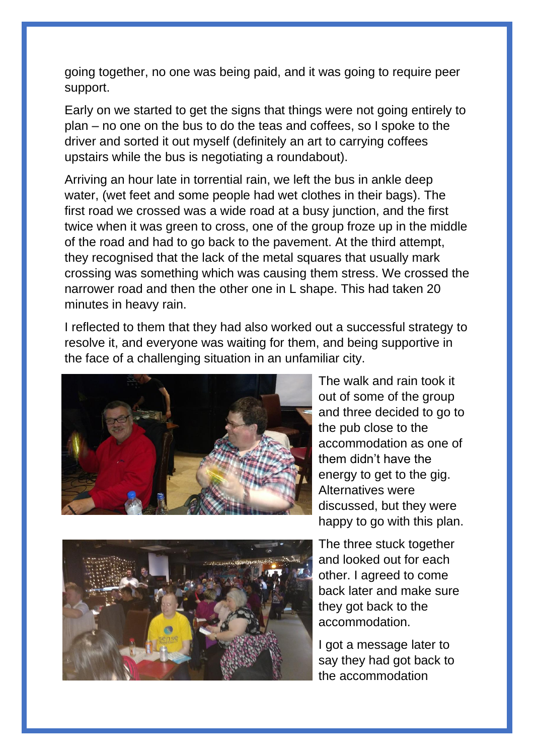going together, no one was being paid, and it was going to require peer support.

Early on we started to get the signs that things were not going entirely to plan – no one on the bus to do the teas and coffees, so I spoke to the driver and sorted it out myself (definitely an art to carrying coffees upstairs while the bus is negotiating a roundabout).

Arriving an hour late in torrential rain, we left the bus in ankle deep water, (wet feet and some people had wet clothes in their bags). The first road we crossed was a wide road at a busy junction, and the first twice when it was green to cross, one of the group froze up in the middle of the road and had to go back to the pavement. At the third attempt, they recognised that the lack of the metal squares that usually mark crossing was something which was causing them stress. We crossed the narrower road and then the other one in L shape. This had taken 20 minutes in heavy rain.

I reflected to them that they had also worked out a successful strategy to resolve it, and everyone was waiting for them, and being supportive in the face of a challenging situation in an unfamiliar city.



The walk and rain took it out of some of the group and three decided to go to the pub close to the accommodation as one of them didn't have the energy to get to the gig. Alternatives were discussed, but they were happy to go with this plan.



The three stuck together and looked out for each other. I agreed to come back later and make sure they got back to the accommodation.

I got a message later to say they had got back to the accommodation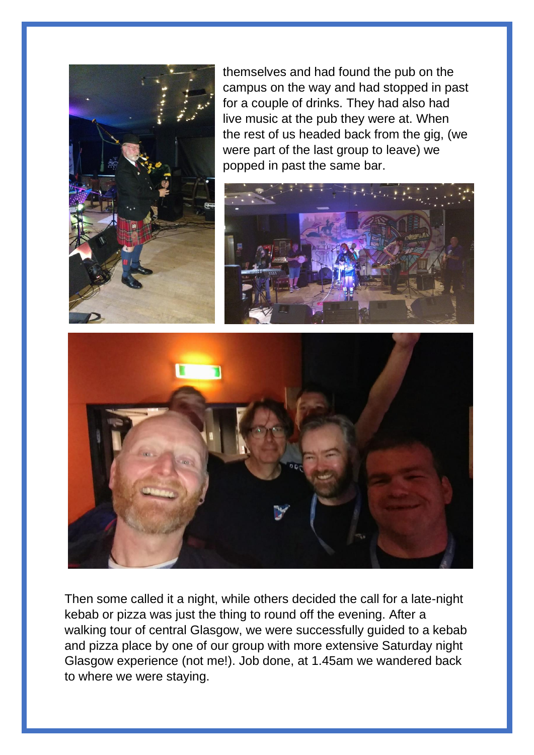

themselves and had found the pub on the campus on the way and had stopped in past for a couple of drinks. They had also had live music at the pub they were at. When the rest of us headed back from the gig, (we were part of the last group to leave) we popped in past the same bar.





Then some called it a night, while others decided the call for a late-night kebab or pizza was just the thing to round off the evening. After a walking tour of central Glasgow, we were successfully guided to a kebab and pizza place by one of our group with more extensive Saturday night Glasgow experience (not me!). Job done, at 1.45am we wandered back to where we were staying.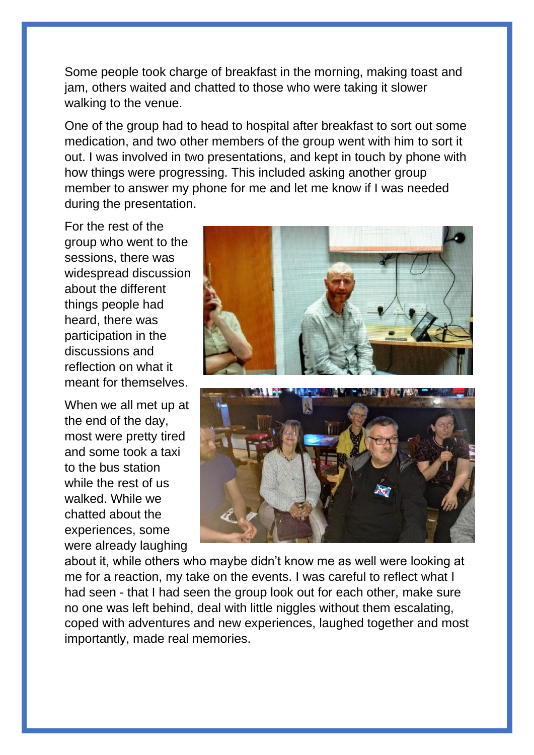Some people took charge of breakfast in the morning, making toast and jam, others waited and chatted to those who were taking it slower walking to the venue.

One of the group had to head to hospital after breakfast to sort out some medication, and two other members of the group went with him to sort it out. I was involved in two presentations, and kept in touch by phone with how things were progressing. This included asking another group member to answer my phone for me and let me know if I was needed during the presentation.

For the rest of the group who went to the sessions, there was widespread discussion about the different things people had heard, there was participation in the discussions and reflection on what it meant for themselves.

When we all met up at the end of the day, most were pretty tired and some took a taxi to the bus station while the rest of us walked. While we chatted about the experiences, some were already laughing





about it, while others who maybe didn't know me as well were looking at me for a reaction, my take on the events. I was careful to reflect what I had seen - that I had seen the group look out for each other, make sure no one was left behind, deal with little niggles without them escalating, coped with adventures and new experiences, laughed together and most importantly, made real memories.